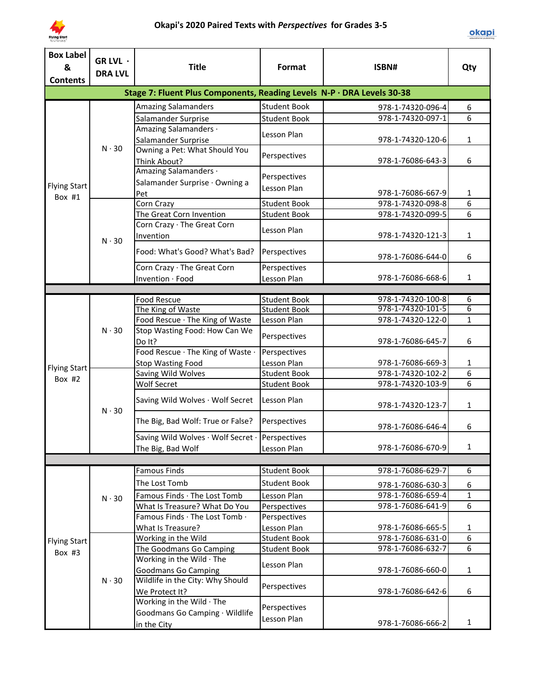

| <b>Title</b><br>&<br>Format<br>ISBN#<br>Qty<br><b>DRA LVL</b><br><b>Contents</b><br>Stage 7: Fluent Plus Components, Reading Levels N-P · DRA Levels 30-38<br><b>Student Book</b><br><b>Amazing Salamanders</b><br>978-1-74320-096-4<br>6<br>6<br>Salamander Surprise<br>978-1-74320-097-1<br><b>Student Book</b><br>Amazing Salamanders ·<br>Lesson Plan<br>Salamander Surprise<br>978-1-74320-120-6<br>1<br>$N \cdot 30$<br>Owning a Pet: What Should You<br>Perspectives<br>Think About?<br>978-1-76086-643-3<br>6<br>Amazing Salamanders ·<br>Perspectives<br>Salamander Surprise · Owning a<br><b>Flying Start</b><br>Lesson Plan<br>978-1-76086-667-9<br>Pet<br>1<br>Box #1<br>Corn Crazy<br>6<br><b>Student Book</b><br>978-1-74320-098-8<br>6<br>The Great Corn Invention<br><b>Student Book</b><br>978-1-74320-099-5<br>Corn Crazy · The Great Corn<br>Lesson Plan<br>978-1-74320-121-3<br>1<br>Invention<br>$N \cdot 30$<br>Food: What's Good? What's Bad?<br>Perspectives<br>978-1-76086-644-0<br>6<br>Corn Crazy · The Great Corn<br>Perspectives<br>1<br>978-1-76086-668-6<br>Invention · Food<br>Lesson Plan<br><b>Food Rescue</b><br><b>Student Book</b><br>978-1-74320-100-8<br>6<br>$\overline{6}$<br>978-1-74320-101-5<br>The King of Waste<br>Student Book<br>Food Rescue · The King of Waste<br>Lesson Plan<br>1<br>978-1-74320-122-0 | <b>Box Label</b> | GR LVL ·     |  |  |  |  |  |  |  |
|-----------------------------------------------------------------------------------------------------------------------------------------------------------------------------------------------------------------------------------------------------------------------------------------------------------------------------------------------------------------------------------------------------------------------------------------------------------------------------------------------------------------------------------------------------------------------------------------------------------------------------------------------------------------------------------------------------------------------------------------------------------------------------------------------------------------------------------------------------------------------------------------------------------------------------------------------------------------------------------------------------------------------------------------------------------------------------------------------------------------------------------------------------------------------------------------------------------------------------------------------------------------------------------------------------------------------------------------------------------|------------------|--------------|--|--|--|--|--|--|--|
|                                                                                                                                                                                                                                                                                                                                                                                                                                                                                                                                                                                                                                                                                                                                                                                                                                                                                                                                                                                                                                                                                                                                                                                                                                                                                                                                                           |                  |              |  |  |  |  |  |  |  |
|                                                                                                                                                                                                                                                                                                                                                                                                                                                                                                                                                                                                                                                                                                                                                                                                                                                                                                                                                                                                                                                                                                                                                                                                                                                                                                                                                           |                  |              |  |  |  |  |  |  |  |
|                                                                                                                                                                                                                                                                                                                                                                                                                                                                                                                                                                                                                                                                                                                                                                                                                                                                                                                                                                                                                                                                                                                                                                                                                                                                                                                                                           |                  |              |  |  |  |  |  |  |  |
|                                                                                                                                                                                                                                                                                                                                                                                                                                                                                                                                                                                                                                                                                                                                                                                                                                                                                                                                                                                                                                                                                                                                                                                                                                                                                                                                                           |                  |              |  |  |  |  |  |  |  |
|                                                                                                                                                                                                                                                                                                                                                                                                                                                                                                                                                                                                                                                                                                                                                                                                                                                                                                                                                                                                                                                                                                                                                                                                                                                                                                                                                           |                  |              |  |  |  |  |  |  |  |
|                                                                                                                                                                                                                                                                                                                                                                                                                                                                                                                                                                                                                                                                                                                                                                                                                                                                                                                                                                                                                                                                                                                                                                                                                                                                                                                                                           |                  |              |  |  |  |  |  |  |  |
|                                                                                                                                                                                                                                                                                                                                                                                                                                                                                                                                                                                                                                                                                                                                                                                                                                                                                                                                                                                                                                                                                                                                                                                                                                                                                                                                                           |                  |              |  |  |  |  |  |  |  |
|                                                                                                                                                                                                                                                                                                                                                                                                                                                                                                                                                                                                                                                                                                                                                                                                                                                                                                                                                                                                                                                                                                                                                                                                                                                                                                                                                           |                  |              |  |  |  |  |  |  |  |
|                                                                                                                                                                                                                                                                                                                                                                                                                                                                                                                                                                                                                                                                                                                                                                                                                                                                                                                                                                                                                                                                                                                                                                                                                                                                                                                                                           |                  |              |  |  |  |  |  |  |  |
|                                                                                                                                                                                                                                                                                                                                                                                                                                                                                                                                                                                                                                                                                                                                                                                                                                                                                                                                                                                                                                                                                                                                                                                                                                                                                                                                                           |                  |              |  |  |  |  |  |  |  |
|                                                                                                                                                                                                                                                                                                                                                                                                                                                                                                                                                                                                                                                                                                                                                                                                                                                                                                                                                                                                                                                                                                                                                                                                                                                                                                                                                           |                  |              |  |  |  |  |  |  |  |
|                                                                                                                                                                                                                                                                                                                                                                                                                                                                                                                                                                                                                                                                                                                                                                                                                                                                                                                                                                                                                                                                                                                                                                                                                                                                                                                                                           |                  |              |  |  |  |  |  |  |  |
|                                                                                                                                                                                                                                                                                                                                                                                                                                                                                                                                                                                                                                                                                                                                                                                                                                                                                                                                                                                                                                                                                                                                                                                                                                                                                                                                                           |                  |              |  |  |  |  |  |  |  |
|                                                                                                                                                                                                                                                                                                                                                                                                                                                                                                                                                                                                                                                                                                                                                                                                                                                                                                                                                                                                                                                                                                                                                                                                                                                                                                                                                           |                  |              |  |  |  |  |  |  |  |
|                                                                                                                                                                                                                                                                                                                                                                                                                                                                                                                                                                                                                                                                                                                                                                                                                                                                                                                                                                                                                                                                                                                                                                                                                                                                                                                                                           |                  |              |  |  |  |  |  |  |  |
|                                                                                                                                                                                                                                                                                                                                                                                                                                                                                                                                                                                                                                                                                                                                                                                                                                                                                                                                                                                                                                                                                                                                                                                                                                                                                                                                                           |                  |              |  |  |  |  |  |  |  |
|                                                                                                                                                                                                                                                                                                                                                                                                                                                                                                                                                                                                                                                                                                                                                                                                                                                                                                                                                                                                                                                                                                                                                                                                                                                                                                                                                           |                  |              |  |  |  |  |  |  |  |
|                                                                                                                                                                                                                                                                                                                                                                                                                                                                                                                                                                                                                                                                                                                                                                                                                                                                                                                                                                                                                                                                                                                                                                                                                                                                                                                                                           |                  |              |  |  |  |  |  |  |  |
|                                                                                                                                                                                                                                                                                                                                                                                                                                                                                                                                                                                                                                                                                                                                                                                                                                                                                                                                                                                                                                                                                                                                                                                                                                                                                                                                                           |                  |              |  |  |  |  |  |  |  |
|                                                                                                                                                                                                                                                                                                                                                                                                                                                                                                                                                                                                                                                                                                                                                                                                                                                                                                                                                                                                                                                                                                                                                                                                                                                                                                                                                           |                  |              |  |  |  |  |  |  |  |
|                                                                                                                                                                                                                                                                                                                                                                                                                                                                                                                                                                                                                                                                                                                                                                                                                                                                                                                                                                                                                                                                                                                                                                                                                                                                                                                                                           |                  |              |  |  |  |  |  |  |  |
|                                                                                                                                                                                                                                                                                                                                                                                                                                                                                                                                                                                                                                                                                                                                                                                                                                                                                                                                                                                                                                                                                                                                                                                                                                                                                                                                                           |                  |              |  |  |  |  |  |  |  |
|                                                                                                                                                                                                                                                                                                                                                                                                                                                                                                                                                                                                                                                                                                                                                                                                                                                                                                                                                                                                                                                                                                                                                                                                                                                                                                                                                           |                  |              |  |  |  |  |  |  |  |
| Stop Wasting Food: How Can We<br>$N \cdot 30$<br>Perspectives                                                                                                                                                                                                                                                                                                                                                                                                                                                                                                                                                                                                                                                                                                                                                                                                                                                                                                                                                                                                                                                                                                                                                                                                                                                                                             |                  |              |  |  |  |  |  |  |  |
| Do It?<br>978-1-76086-645-7<br>6<br>Food Rescue · The King of Waste ·<br>Perspectives                                                                                                                                                                                                                                                                                                                                                                                                                                                                                                                                                                                                                                                                                                                                                                                                                                                                                                                                                                                                                                                                                                                                                                                                                                                                     |                  |              |  |  |  |  |  |  |  |
| Lesson Plan<br><b>Stop Wasting Food</b><br>978-1-76086-669-3<br>1                                                                                                                                                                                                                                                                                                                                                                                                                                                                                                                                                                                                                                                                                                                                                                                                                                                                                                                                                                                                                                                                                                                                                                                                                                                                                         |                  |              |  |  |  |  |  |  |  |
| <b>Flying Start</b><br>6<br>Saving Wild Wolves<br><b>Student Book</b><br>978-1-74320-102-2                                                                                                                                                                                                                                                                                                                                                                                                                                                                                                                                                                                                                                                                                                                                                                                                                                                                                                                                                                                                                                                                                                                                                                                                                                                                |                  |              |  |  |  |  |  |  |  |
| Box #2<br>6<br><b>Wolf Secret</b><br><b>Student Book</b><br>978-1-74320-103-9                                                                                                                                                                                                                                                                                                                                                                                                                                                                                                                                                                                                                                                                                                                                                                                                                                                                                                                                                                                                                                                                                                                                                                                                                                                                             |                  |              |  |  |  |  |  |  |  |
|                                                                                                                                                                                                                                                                                                                                                                                                                                                                                                                                                                                                                                                                                                                                                                                                                                                                                                                                                                                                                                                                                                                                                                                                                                                                                                                                                           |                  |              |  |  |  |  |  |  |  |
| Saving Wild Wolves · Wolf Secret<br>Lesson Plan<br>978-1-74320-123-7<br>1                                                                                                                                                                                                                                                                                                                                                                                                                                                                                                                                                                                                                                                                                                                                                                                                                                                                                                                                                                                                                                                                                                                                                                                                                                                                                 |                  | $N \cdot 30$ |  |  |  |  |  |  |  |
|                                                                                                                                                                                                                                                                                                                                                                                                                                                                                                                                                                                                                                                                                                                                                                                                                                                                                                                                                                                                                                                                                                                                                                                                                                                                                                                                                           |                  |              |  |  |  |  |  |  |  |
| The Big, Bad Wolf: True or False?<br>Perspectives<br>978-1-76086-646-4<br>6                                                                                                                                                                                                                                                                                                                                                                                                                                                                                                                                                                                                                                                                                                                                                                                                                                                                                                                                                                                                                                                                                                                                                                                                                                                                               |                  |              |  |  |  |  |  |  |  |
| Saving Wild Wolves · Wolf Secret ·<br>Perspectives                                                                                                                                                                                                                                                                                                                                                                                                                                                                                                                                                                                                                                                                                                                                                                                                                                                                                                                                                                                                                                                                                                                                                                                                                                                                                                        |                  |              |  |  |  |  |  |  |  |
| The Big, Bad Wolf<br>Lesson Plan<br>978-1-76086-670-9<br>1                                                                                                                                                                                                                                                                                                                                                                                                                                                                                                                                                                                                                                                                                                                                                                                                                                                                                                                                                                                                                                                                                                                                                                                                                                                                                                |                  |              |  |  |  |  |  |  |  |
|                                                                                                                                                                                                                                                                                                                                                                                                                                                                                                                                                                                                                                                                                                                                                                                                                                                                                                                                                                                                                                                                                                                                                                                                                                                                                                                                                           |                  |              |  |  |  |  |  |  |  |
| <b>Famous Finds</b><br><b>Student Book</b><br>978-1-76086-629-7<br>6                                                                                                                                                                                                                                                                                                                                                                                                                                                                                                                                                                                                                                                                                                                                                                                                                                                                                                                                                                                                                                                                                                                                                                                                                                                                                      |                  |              |  |  |  |  |  |  |  |
| The Lost Tomb<br><b>Student Book</b><br>6<br>978-1-76086-630-3                                                                                                                                                                                                                                                                                                                                                                                                                                                                                                                                                                                                                                                                                                                                                                                                                                                                                                                                                                                                                                                                                                                                                                                                                                                                                            |                  |              |  |  |  |  |  |  |  |
| Lesson Plan<br>Famous Finds · The Lost Tomb<br>978-1-76086-659-4<br>$\mathbf{1}$<br>$N \cdot 30$                                                                                                                                                                                                                                                                                                                                                                                                                                                                                                                                                                                                                                                                                                                                                                                                                                                                                                                                                                                                                                                                                                                                                                                                                                                          |                  |              |  |  |  |  |  |  |  |
| 6<br>What Is Treasure? What Do You<br>Perspectives<br>978-1-76086-641-9                                                                                                                                                                                                                                                                                                                                                                                                                                                                                                                                                                                                                                                                                                                                                                                                                                                                                                                                                                                                                                                                                                                                                                                                                                                                                   |                  |              |  |  |  |  |  |  |  |
| Famous Finds · The Lost Tomb ·<br>Perspectives                                                                                                                                                                                                                                                                                                                                                                                                                                                                                                                                                                                                                                                                                                                                                                                                                                                                                                                                                                                                                                                                                                                                                                                                                                                                                                            |                  |              |  |  |  |  |  |  |  |
| What Is Treasure?<br>Lesson Plan<br>978-1-76086-665-5<br>1                                                                                                                                                                                                                                                                                                                                                                                                                                                                                                                                                                                                                                                                                                                                                                                                                                                                                                                                                                                                                                                                                                                                                                                                                                                                                                |                  |              |  |  |  |  |  |  |  |
| 6<br><b>Student Book</b><br>978-1-76086-631-0<br>Working in the Wild<br><b>Flying Start</b>                                                                                                                                                                                                                                                                                                                                                                                                                                                                                                                                                                                                                                                                                                                                                                                                                                                                                                                                                                                                                                                                                                                                                                                                                                                               |                  |              |  |  |  |  |  |  |  |
| 6<br>The Goodmans Go Camping<br><b>Student Book</b><br>978-1-76086-632-7<br>Box #3                                                                                                                                                                                                                                                                                                                                                                                                                                                                                                                                                                                                                                                                                                                                                                                                                                                                                                                                                                                                                                                                                                                                                                                                                                                                        |                  |              |  |  |  |  |  |  |  |
| Working in the Wild $\cdot$ The<br>Lesson Plan                                                                                                                                                                                                                                                                                                                                                                                                                                                                                                                                                                                                                                                                                                                                                                                                                                                                                                                                                                                                                                                                                                                                                                                                                                                                                                            |                  |              |  |  |  |  |  |  |  |
| <b>Goodmans Go Camping</b><br>978-1-76086-660-0<br>1                                                                                                                                                                                                                                                                                                                                                                                                                                                                                                                                                                                                                                                                                                                                                                                                                                                                                                                                                                                                                                                                                                                                                                                                                                                                                                      |                  |              |  |  |  |  |  |  |  |
| Wildlife in the City: Why Should<br>$N \cdot 30$<br>Perspectives                                                                                                                                                                                                                                                                                                                                                                                                                                                                                                                                                                                                                                                                                                                                                                                                                                                                                                                                                                                                                                                                                                                                                                                                                                                                                          |                  |              |  |  |  |  |  |  |  |
| We Protect It?<br>6<br>978-1-76086-642-6<br>Working in the Wild · The                                                                                                                                                                                                                                                                                                                                                                                                                                                                                                                                                                                                                                                                                                                                                                                                                                                                                                                                                                                                                                                                                                                                                                                                                                                                                     |                  |              |  |  |  |  |  |  |  |
| Perspectives<br>Goodmans Go Camping · Wildlife                                                                                                                                                                                                                                                                                                                                                                                                                                                                                                                                                                                                                                                                                                                                                                                                                                                                                                                                                                                                                                                                                                                                                                                                                                                                                                            |                  |              |  |  |  |  |  |  |  |
| Lesson Plan<br>1<br>978-1-76086-666-2<br>in the City                                                                                                                                                                                                                                                                                                                                                                                                                                                                                                                                                                                                                                                                                                                                                                                                                                                                                                                                                                                                                                                                                                                                                                                                                                                                                                      |                  |              |  |  |  |  |  |  |  |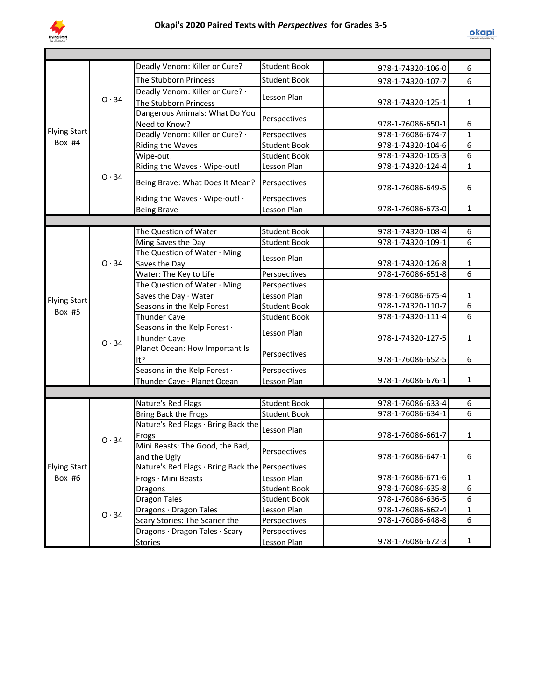

|                                 |              | Deadly Venom: Killer or Cure?                    | <b>Student Book</b> | 978-1-74320-106-0 | 6              |
|---------------------------------|--------------|--------------------------------------------------|---------------------|-------------------|----------------|
| <b>Flying Start</b><br>Box $#4$ |              | The Stubborn Princess                            | <b>Student Book</b> | 978-1-74320-107-7 | 6              |
|                                 |              | Deadly Venom: Killer or Cure? .                  | Lesson Plan         |                   |                |
|                                 | $O \cdot 34$ | The Stubborn Princess                            |                     | 978-1-74320-125-1 | $\mathbf{1}$   |
|                                 |              | Dangerous Animals: What Do You                   | Perspectives        |                   |                |
|                                 |              | Need to Know?                                    |                     | 978-1-76086-650-1 | 6              |
|                                 |              | Deadly Venom: Killer or Cure? .                  | Perspectives        | 978-1-76086-674-7 | $\mathbf{1}$   |
|                                 |              | Riding the Waves                                 | <b>Student Book</b> | 978-1-74320-104-6 | $\overline{6}$ |
|                                 |              | Wipe-out!                                        | <b>Student Book</b> | 978-1-74320-105-3 | $\overline{6}$ |
|                                 |              | Riding the Waves · Wipe-out!                     | Lesson Plan         | 978-1-74320-124-4 | $\mathbf{1}$   |
|                                 | 0.34         | Being Brave: What Does It Mean?                  | Perspectives        | 978-1-76086-649-5 | 6              |
|                                 |              | Riding the Waves · Wipe-out! ·                   | Perspectives        |                   |                |
|                                 |              | <b>Being Brave</b>                               | Lesson Plan         | 978-1-76086-673-0 | $\mathbf{1}$   |
|                                 |              |                                                  |                     |                   |                |
|                                 |              | The Question of Water                            | <b>Student Book</b> | 978-1-74320-108-4 | 6              |
|                                 |              | Ming Saves the Day                               | <b>Student Book</b> | 978-1-74320-109-1 | 6              |
|                                 |              | The Question of Water · Ming                     |                     |                   |                |
|                                 | 0.34         | Saves the Day                                    | Lesson Plan         | 978-1-74320-126-8 | 1              |
|                                 |              | Water: The Key to Life                           | Perspectives        | 978-1-76086-651-8 | $\overline{6}$ |
| <b>Flying Start</b><br>Box #5   |              | The Question of Water · Ming                     | Perspectives        |                   |                |
|                                 |              | Saves the Day · Water                            | Lesson Plan         | 978-1-76086-675-4 | 1              |
|                                 | $O \cdot 34$ | Seasons in the Kelp Forest                       | <b>Student Book</b> | 978-1-74320-110-7 | $\overline{6}$ |
|                                 |              | <b>Thunder Cave</b>                              | <b>Student Book</b> | 978-1-74320-111-4 | 6              |
|                                 |              | Seasons in the Kelp Forest .                     | Lesson Plan         |                   |                |
|                                 |              | <b>Thunder Cave</b>                              |                     | 978-1-74320-127-5 | $\mathbf{1}$   |
|                                 |              | Planet Ocean: How Important Is<br>It?            | Perspectives        | 978-1-76086-652-5 | 6              |
|                                 |              | Seasons in the Kelp Forest .                     | Perspectives        |                   |                |
|                                 |              | Thunder Cave · Planet Ocean                      | Lesson Plan         | 978-1-76086-676-1 | $\mathbf{1}$   |
|                                 |              |                                                  |                     |                   |                |
|                                 |              | Nature's Red Flags                               | <b>Student Book</b> | 978-1-76086-633-4 | 6              |
|                                 | $O \cdot 34$ | Bring Back the Frogs                             | <b>Student Book</b> | 978-1-76086-634-1 | 6              |
|                                 |              | Nature's Red Flags · Bring Back the              |                     |                   |                |
|                                 |              | Frogs                                            | Lesson Plan         | 978-1-76086-661-7 | 1              |
|                                 |              | Mini Beasts: The Good, the Bad,                  |                     |                   |                |
| <b>Flying Start</b><br>Box #6   |              | and the Ugly                                     | Perspectives        | 978-1-76086-647-1 | 6              |
|                                 |              | Nature's Red Flags · Bring Back the Perspectives |                     |                   |                |
|                                 |              | Frogs · Mini Beasts                              | Lesson Plan         | 978-1-76086-671-6 | 1              |
|                                 |              | <b>Dragons</b>                                   | <b>Student Book</b> | 978-1-76086-635-8 | 6              |
|                                 |              | <b>Dragon Tales</b>                              | <b>Student Book</b> | 978-1-76086-636-5 | 6              |
|                                 | 0.34         | Dragons · Dragon Tales                           | Lesson Plan         | 978-1-76086-662-4 | $\mathbf{1}$   |
|                                 |              | Scary Stories: The Scarier the                   | Perspectives        | 978-1-76086-648-8 | 6              |
|                                 |              | Dragons · Dragon Tales · Scary                   | Perspectives        |                   |                |
|                                 |              | <b>Stories</b>                                   | Lesson Plan         | 978-1-76086-672-3 | $\mathbf{1}$   |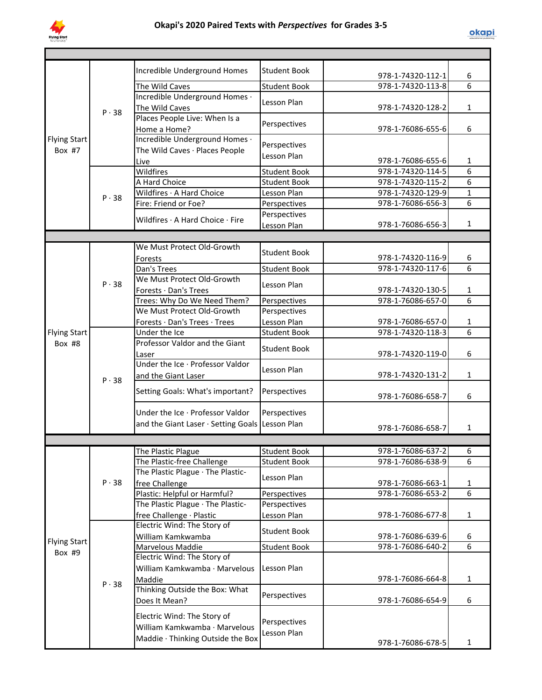

| <b>Flying Start</b><br>Box #7 |              | Incredible Underground Homes                                    | <b>Student Book</b> | 978-1-74320-112-1                      | 6              |
|-------------------------------|--------------|-----------------------------------------------------------------|---------------------|----------------------------------------|----------------|
|                               |              | The Wild Caves                                                  | <b>Student Book</b> | 978-1-74320-113-8                      | 6              |
|                               |              | Incredible Underground Homes .                                  | Lesson Plan         |                                        |                |
|                               | $P \cdot 38$ | The Wild Caves                                                  |                     | 978-1-74320-128-2                      | 1              |
|                               |              | Places People Live: When Is a                                   | Perspectives        |                                        |                |
|                               |              | Home a Home?                                                    |                     | 978-1-76086-655-6                      | 6              |
|                               |              | Incredible Underground Homes ·                                  | Perspectives        |                                        |                |
|                               |              | The Wild Caves · Places People                                  | Lesson Plan         |                                        |                |
|                               |              | Live<br>Wildfires                                               | <b>Student Book</b> | 978-1-76086-655-6<br>978-1-74320-114-5 | 1<br>6         |
|                               |              | A Hard Choice                                                   | <b>Student Book</b> | 978-1-74320-115-2                      | 6              |
|                               |              | Wildfires · A Hard Choice                                       | Lesson Plan         | 978-1-74320-129-9                      | $\mathbf{1}$   |
|                               | $P \cdot 38$ | Fire: Friend or Foe?                                            | Perspectives        | 978-1-76086-656-3                      | 6              |
|                               |              |                                                                 | Perspectives        |                                        |                |
|                               |              | Wildfires · A Hard Choice · Fire                                | Lesson Plan         | 978-1-76086-656-3                      | 1              |
|                               |              |                                                                 |                     |                                        |                |
|                               |              | We Must Protect Old-Growth                                      |                     |                                        |                |
|                               |              | Forests                                                         | <b>Student Book</b> | 978-1-74320-116-9                      | 6              |
|                               |              | Dan's Trees                                                     | <b>Student Book</b> | 978-1-74320-117-6                      | 6              |
|                               | P.38         | We Must Protect Old-Growth                                      |                     |                                        |                |
|                               |              | Forests · Dan's Trees                                           | Lesson Plan         | 978-1-74320-130-5                      | 1              |
|                               |              | Trees: Why Do We Need Them?                                     | Perspectives        | 978-1-76086-657-0                      | 6              |
|                               |              | We Must Protect Old-Growth                                      | Perspectives        |                                        |                |
|                               |              | Forests · Dan's Trees · Trees                                   | Lesson Plan         | 978-1-76086-657-0                      | 1              |
| <b>Flying Start</b>           | P.38         | Under the Ice                                                   | <b>Student Book</b> | 978-1-74320-118-3                      | $\overline{6}$ |
| Box #8                        |              | Professor Valdor and the Giant                                  | <b>Student Book</b> |                                        |                |
|                               |              | Laser                                                           |                     | 978-1-74320-119-0                      | 6              |
|                               |              | Under the Ice · Professor Valdor                                | Lesson Plan         |                                        |                |
|                               |              | and the Giant Laser                                             |                     | 978-1-74320-131-2                      | 1              |
|                               |              | Setting Goals: What's important?                                | Perspectives        | 978-1-76086-658-7                      | 6              |
|                               |              | Under the Ice · Professor Valdor                                | Perspectives        |                                        |                |
|                               |              | and the Giant Laser · Setting Goals Lesson Plan                 |                     |                                        |                |
|                               |              |                                                                 |                     | 978-1-76086-658-7                      | 1              |
|                               |              |                                                                 |                     |                                        |                |
|                               | P.38         | The Plastic Plague                                              | <b>Student Book</b> | 978-1-76086-637-2                      | 6<br>6         |
|                               |              | The Plastic-free Challenge<br>The Plastic Plague · The Plastic- | <b>Student Book</b> | 978-1-76086-638-9                      |                |
|                               |              | free Challenge                                                  | Lesson Plan         | 978-1-76086-663-1                      |                |
|                               |              | Plastic: Helpful or Harmful?                                    | Perspectives        | 978-1-76086-653-2                      | 1<br>6         |
|                               |              | The Plastic Plague · The Plastic-                               | Perspectives        |                                        |                |
|                               |              | free Challenge · Plastic                                        | Lesson Plan         | 978-1-76086-677-8                      | $\mathbf{1}$   |
| <b>Flying Start</b>           |              | Electric Wind: The Story of                                     |                     |                                        |                |
|                               |              | William Kamkwamba                                               | <b>Student Book</b> | 978-1-76086-639-6                      | 6              |
|                               |              | Marvelous Maddie                                                | <b>Student Book</b> | 978-1-76086-640-2                      | 6              |
| Box #9                        |              | Electric Wind: The Story of                                     |                     |                                        |                |
|                               | $P \cdot 38$ | William Kamkwamba · Marvelous                                   | Lesson Plan         |                                        |                |
|                               |              | Maddie                                                          |                     | 978-1-76086-664-8                      | 1              |
|                               |              | Thinking Outside the Box: What                                  | Perspectives        |                                        |                |
|                               |              | Does It Mean?                                                   |                     | 978-1-76086-654-9                      | 6              |
|                               |              | Electric Wind: The Story of                                     |                     |                                        |                |
|                               |              | William Kamkwamba · Marvelous                                   | Perspectives        |                                        |                |
|                               |              | Maddie · Thinking Outside the Box                               | Lesson Plan         |                                        |                |
|                               |              |                                                                 |                     | 978-1-76086-678-5                      | $\mathbf{1}$   |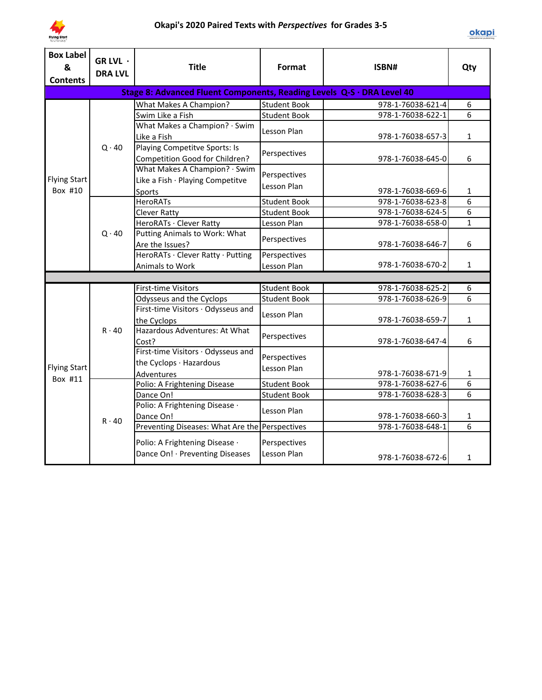

| <b>Box Label</b><br>&<br><b>Contents</b> | GR LVL ·<br><b>DRA LVL</b> | <b>Title</b>                                                                | Format                             | ISBN#                                  | Qty               |
|------------------------------------------|----------------------------|-----------------------------------------------------------------------------|------------------------------------|----------------------------------------|-------------------|
|                                          |                            | Stage 8: Advanced Fluent Components, Reading Levels Q-S · DRA Level 40      |                                    |                                        |                   |
|                                          |                            | What Makes A Champion?                                                      | Student Book                       | 978-1-76038-621-4                      | 6                 |
|                                          |                            | Swim Like a Fish                                                            | <b>Student Book</b>                | 978-1-76038-622-1                      | $\overline{6}$    |
| <b>Flying Start</b><br>Box #10           |                            | What Makes a Champion? · Swim<br>Like a Fish                                | Lesson Plan                        | 978-1-76038-657-3                      | $\mathbf{1}$      |
|                                          | $Q \cdot 40$               | Playing Competitve Sports: Is<br>Competition Good for Children?             | Perspectives                       | 978-1-76038-645-0                      | 6                 |
|                                          |                            | What Makes A Champion? · Swim<br>Like a Fish · Playing Competitve           | Perspectives<br>Lesson Plan        |                                        |                   |
|                                          |                            | <b>Sports</b>                                                               |                                    | 978-1-76038-669-6<br>978-1-76038-623-8 | $\mathbf{1}$<br>6 |
|                                          |                            | <b>HeroRATs</b>                                                             | <b>Student Book</b>                | 978-1-76038-624-5                      | 6                 |
|                                          |                            | <b>Clever Ratty</b>                                                         | <b>Student Book</b><br>Lesson Plan | 978-1-76038-658-0                      | $\mathbf{1}$      |
|                                          | $Q \cdot 40$               | HeroRATs · Clever Ratty<br>Putting Animals to Work: What<br>Are the Issues? | Perspectives                       | 978-1-76038-646-7                      | 6                 |
|                                          |                            | HeroRATs · Clever Ratty · Putting                                           | Perspectives                       |                                        |                   |
|                                          |                            | Animals to Work                                                             | Lesson Plan                        | 978-1-76038-670-2                      | $\mathbf{1}$      |
|                                          |                            |                                                                             |                                    |                                        |                   |
|                                          | $R \cdot 40$               | <b>First-time Visitors</b>                                                  | <b>Student Book</b>                | 978-1-76038-625-2                      | 6                 |
|                                          |                            | Odysseus and the Cyclops                                                    | <b>Student Book</b>                | 978-1-76038-626-9                      | 6                 |
|                                          |                            | First-time Visitors · Odysseus and<br>the Cyclops                           | Lesson Plan                        | 978-1-76038-659-7                      | $\mathbf{1}$      |
|                                          |                            | Hazardous Adventures: At What<br>Cost?                                      | Perspectives                       | 978-1-76038-647-4                      | 6                 |
| <b>Flying Start</b>                      |                            | First-time Visitors · Odysseus and<br>the Cyclops · Hazardous               | Perspectives<br>Lesson Plan        |                                        |                   |
| Box #11                                  |                            | Adventures                                                                  |                                    | 978-1-76038-671-9                      | $\mathbf{1}$      |
|                                          |                            | Polio: A Frightening Disease                                                | <b>Student Book</b>                | 978-1-76038-627-6                      | 6                 |
|                                          |                            | Dance On!                                                                   | <b>Student Book</b>                | 978-1-76038-628-3                      | 6                 |
|                                          | $R \cdot 40$               | Polio: A Frightening Disease ·<br>Dance On!                                 | Lesson Plan                        | 978-1-76038-660-3                      | $\mathbf 1$       |
|                                          |                            | Preventing Diseases: What Are the Perspectives                              |                                    | 978-1-76038-648-1                      | 6                 |
|                                          |                            | Polio: A Frightening Disease ·<br>Dance On! · Preventing Diseases           | Perspectives<br>Lesson Plan        | 978-1-76038-672-6                      | $\mathbf{1}$      |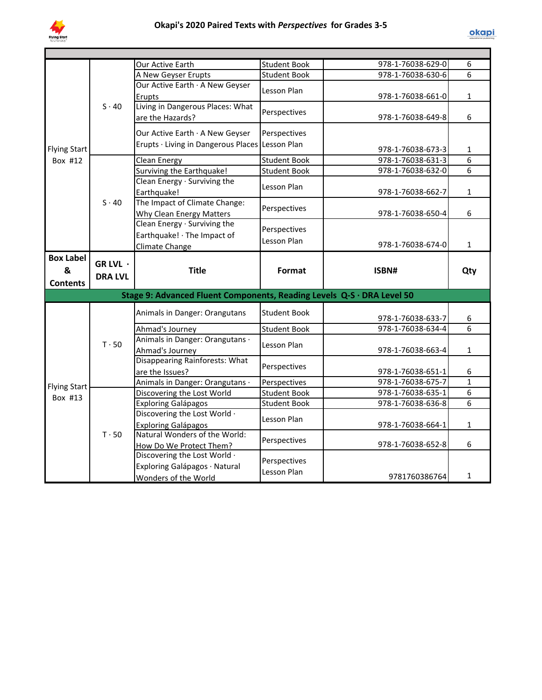

|                                |                | <b>Our Active Earth</b>                                                | <b>Student Book</b>                        | 978-1-76038-629-0 | $\overline{6}$ |
|--------------------------------|----------------|------------------------------------------------------------------------|--------------------------------------------|-------------------|----------------|
|                                |                | A New Geyser Erupts                                                    | <b>Student Book</b>                        | 978-1-76038-630-6 | 6              |
| <b>Flying Start</b><br>Box #12 |                | Our Active Earth · A New Geyser                                        | Lesson Plan                                |                   |                |
|                                |                | Erupts                                                                 |                                            | 978-1-76038-661-0 | $\mathbf{1}$   |
|                                | $S \cdot 40$   | Living in Dangerous Places: What                                       | Perspectives                               |                   |                |
|                                |                | are the Hazards?                                                       |                                            | 978-1-76038-649-8 | 6              |
|                                |                | Our Active Earth · A New Geyser                                        | Perspectives                               |                   |                |
|                                |                | Erupts · Living in Dangerous Places Lesson Plan                        |                                            |                   |                |
|                                |                |                                                                        |                                            | 978-1-76038-673-3 | $\mathbf{1}$   |
|                                |                | Clean Energy                                                           | <b>Student Book</b>                        | 978-1-76038-631-3 | 6              |
|                                |                | Surviving the Earthquake!                                              | <b>Student Book</b>                        | 978-1-76038-632-0 | 6              |
|                                |                | Clean Energy · Surviving the                                           | Lesson Plan                                |                   |                |
|                                |                | Earthquake!                                                            |                                            | 978-1-76038-662-7 | $\mathbf{1}$   |
|                                | $S \cdot 40$   | The Impact of Climate Change:                                          | Perspectives                               |                   |                |
|                                |                | Why Clean Energy Matters                                               |                                            | 978-1-76038-650-4 | 6              |
|                                |                | Clean Energy · Surviving the                                           | Perspectives                               |                   |                |
|                                |                | Earthquake! · The Impact of                                            | Lesson Plan                                |                   |                |
|                                |                | Climate Change                                                         |                                            | 978-1-76038-674-0 | $\mathbf{1}$   |
| <b>Box Label</b>               | GR LVL ·       |                                                                        |                                            |                   |                |
| &                              |                | <b>Title</b>                                                           | Format                                     | ISBN#             |                |
|                                |                |                                                                        |                                            |                   | Qty            |
| <b>Contents</b>                | <b>DRA LVL</b> |                                                                        |                                            |                   |                |
|                                |                |                                                                        |                                            |                   |                |
|                                |                | Stage 9: Advanced Fluent Components, Reading Levels Q-S · DRA Level 50 |                                            |                   |                |
|                                |                | Animals in Danger: Orangutans                                          | <b>Student Book</b>                        |                   |                |
|                                |                |                                                                        |                                            | 978-1-76038-633-7 | 6              |
|                                |                | Ahmad's Journey                                                        | <b>Student Book</b>                        | 978-1-76038-634-4 | $\overline{6}$ |
|                                | $T \cdot 50$   | Animals in Danger: Orangutans ·                                        | Lesson Plan                                |                   | $\mathbf{1}$   |
|                                |                | Ahmad's Journey                                                        |                                            | 978-1-76038-663-4 |                |
|                                |                | <b>Disappearing Rainforests: What</b>                                  | Perspectives                               | 978-1-76038-651-1 | 6              |
|                                |                | are the Issues?                                                        |                                            | 978-1-76038-675-7 | $\mathbf{1}$   |
| <b>Flying Start</b>            |                | Animals in Danger: Orangutans ·                                        | Perspectives                               | 978-1-76038-635-1 | 6              |
| Box #13                        |                | Discovering the Lost World                                             | <b>Student Book</b><br><b>Student Book</b> | 978-1-76038-636-8 | 6              |
|                                |                | <b>Exploring Galápagos</b><br>Discovering the Lost World ·             |                                            |                   |                |
|                                |                |                                                                        | Lesson Plan                                | 978-1-76038-664-1 | $\mathbf{1}$   |
|                                | $T \cdot 50$   | <b>Exploring Galápagos</b><br>Natural Wonders of the World:            |                                            |                   |                |
|                                |                | How Do We Protect Them?                                                | Perspectives                               | 978-1-76038-652-8 | 6              |
|                                |                | Discovering the Lost World .                                           |                                            |                   |                |
|                                |                | Exploring Galápagos · Natural                                          | Perspectives<br>Lesson Plan                |                   |                |